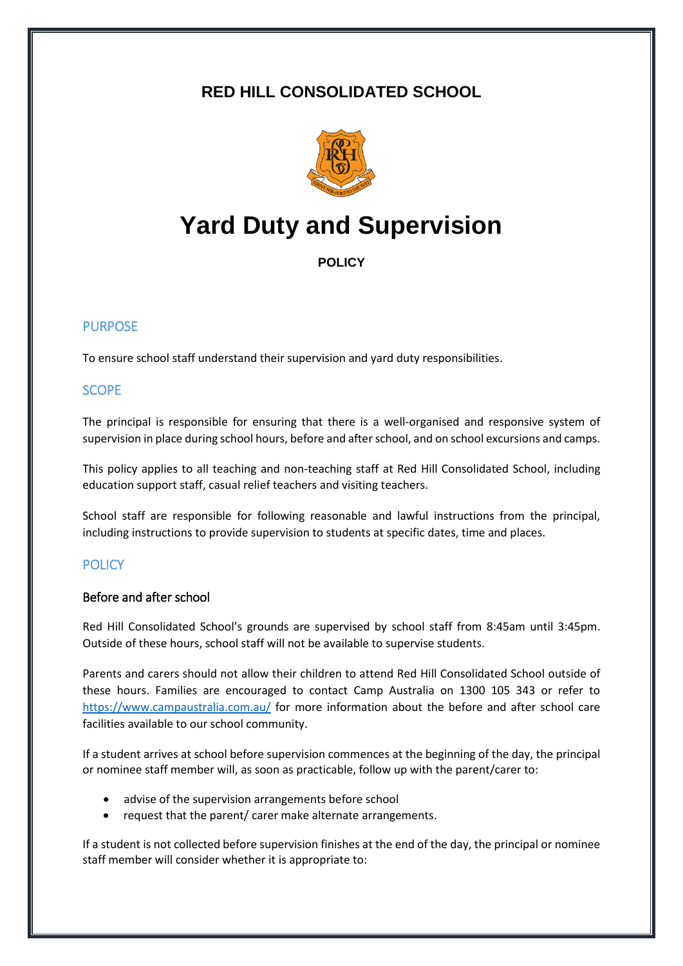# **RED HILL CONSOLIDATED SCHOOL**



# **Yard Duty and Supervision**

**POLICY**

# PURPOSE

To ensure school staff understand their supervision and yard duty responsibilities.

## SCOPE

The principal is responsible for ensuring that there is a well-organised and responsive system of supervision in place during school hours, before and after school, and on school excursions and camps.

This policy applies to all teaching and non-teaching staff at Red Hill Consolidated School, including education support staff, casual relief teachers and visiting teachers.

School staff are responsible for following reasonable and lawful instructions from the principal, including instructions to provide supervision to students at specific dates, time and places.

# **POLICY**

# Before and after school

Red Hill Consolidated School's grounds are supervised by school staff from 8:45am until 3:45pm. Outside of these hours, school staff will not be available to supervise students.

Parents and carers should not allow their children to attend Red Hill Consolidated School outside of these hours. Families are encouraged to contact Camp Australia on 1300 105 343 or refer to <https://www.campaustralia.com.au/> for more information about the before and after school care facilities available to our school community.

If a student arrives at school before supervision commences at the beginning of the day, the principal or nominee staff member will, as soon as practicable, follow up with the parent/carer to:

- advise of the supervision arrangements before school
- request that the parent/ carer make alternate arrangements.

If a student is not collected before supervision finishes at the end of the day, the principal or nominee staff member will consider whether it is appropriate to: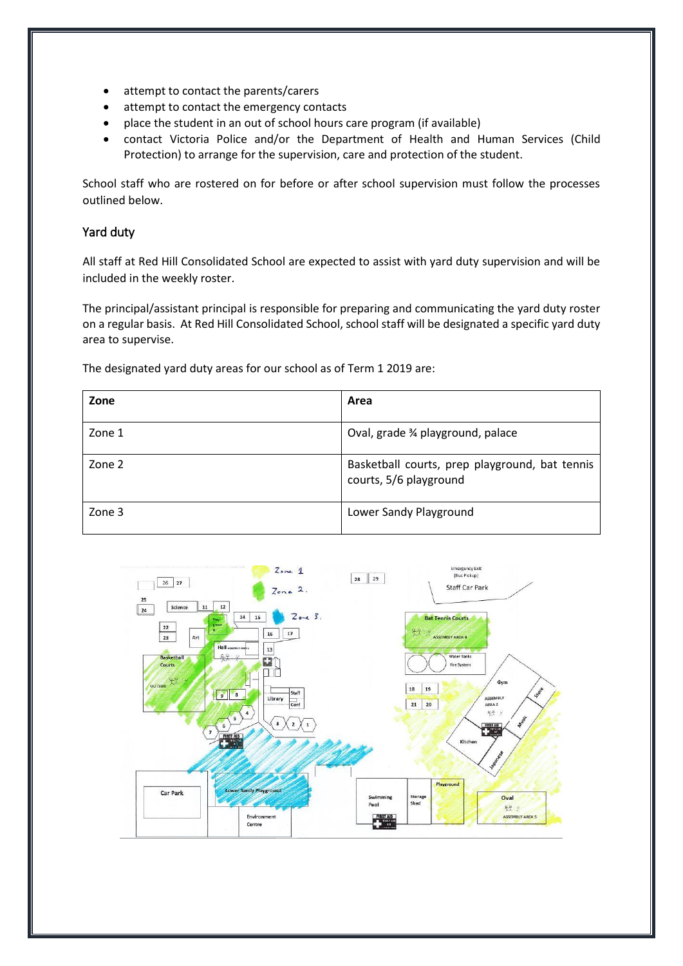- attempt to contact the parents/carers
- attempt to contact the emergency contacts
- place the student in an out of school hours care program (if available)
- contact Victoria Police and/or the Department of Health and Human Services (Child Protection) to arrange for the supervision, care and protection of the student.

School staff who are rostered on for before or after school supervision must follow the processes outlined below.

#### Yard duty

All staff at Red Hill Consolidated School are expected to assist with yard duty supervision and will be included in the weekly roster.

The principal/assistant principal is responsible for preparing and communicating the yard duty roster on a regular basis. At Red Hill Consolidated School, school staff will be designated a specific yard duty area to supervise.

The designated yard duty areas for our school as of Term 1 2019 are:

| Zone   | Area                                                                     |
|--------|--------------------------------------------------------------------------|
| Zone 1 | Oval, grade 3/4 playground, palace                                       |
| Zone 2 | Basketball courts, prep playground, bat tennis<br>courts, 5/6 playground |
| Zone 3 | Lower Sandy Playground                                                   |

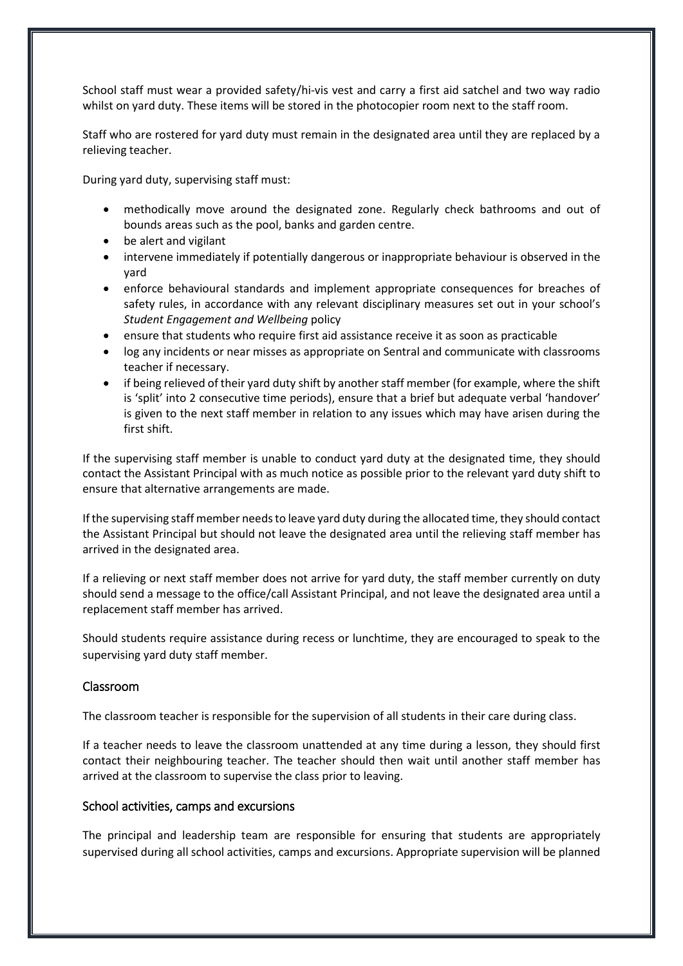School staff must wear a provided safety/hi-vis vest and carry a first aid satchel and two way radio whilst on yard duty. These items will be stored in the photocopier room next to the staff room.

Staff who are rostered for yard duty must remain in the designated area until they are replaced by a relieving teacher.

During yard duty, supervising staff must:

- methodically move around the designated zone. Regularly check bathrooms and out of bounds areas such as the pool, banks and garden centre.
- be alert and vigilant
- intervene immediately if potentially dangerous or inappropriate behaviour is observed in the yard
- enforce behavioural standards and implement appropriate consequences for breaches of safety rules, in accordance with any relevant disciplinary measures set out in your school's *Student Engagement and Wellbeing* policy
- ensure that students who require first aid assistance receive it as soon as practicable
- log any incidents or near misses as appropriate on Sentral and communicate with classrooms teacher if necessary.
- if being relieved of their yard duty shift by another staff member (for example, where the shift is 'split' into 2 consecutive time periods), ensure that a brief but adequate verbal 'handover' is given to the next staff member in relation to any issues which may have arisen during the first shift.

If the supervising staff member is unable to conduct yard duty at the designated time, they should contact the Assistant Principal with as much notice as possible prior to the relevant yard duty shift to ensure that alternative arrangements are made.

If the supervising staff member needs to leave yard duty during the allocated time, they should contact the Assistant Principal but should not leave the designated area until the relieving staff member has arrived in the designated area.

If a relieving or next staff member does not arrive for yard duty, the staff member currently on duty should send a message to the office/call Assistant Principal, and not leave the designated area until a replacement staff member has arrived.

Should students require assistance during recess or lunchtime, they are encouraged to speak to the supervising yard duty staff member.

#### Classroom

The classroom teacher is responsible for the supervision of all students in their care during class.

If a teacher needs to leave the classroom unattended at any time during a lesson, they should first contact their neighbouring teacher. The teacher should then wait until another staff member has arrived at the classroom to supervise the class prior to leaving.

#### School activities, camps and excursions

The principal and leadership team are responsible for ensuring that students are appropriately supervised during all school activities, camps and excursions. Appropriate supervision will be planned